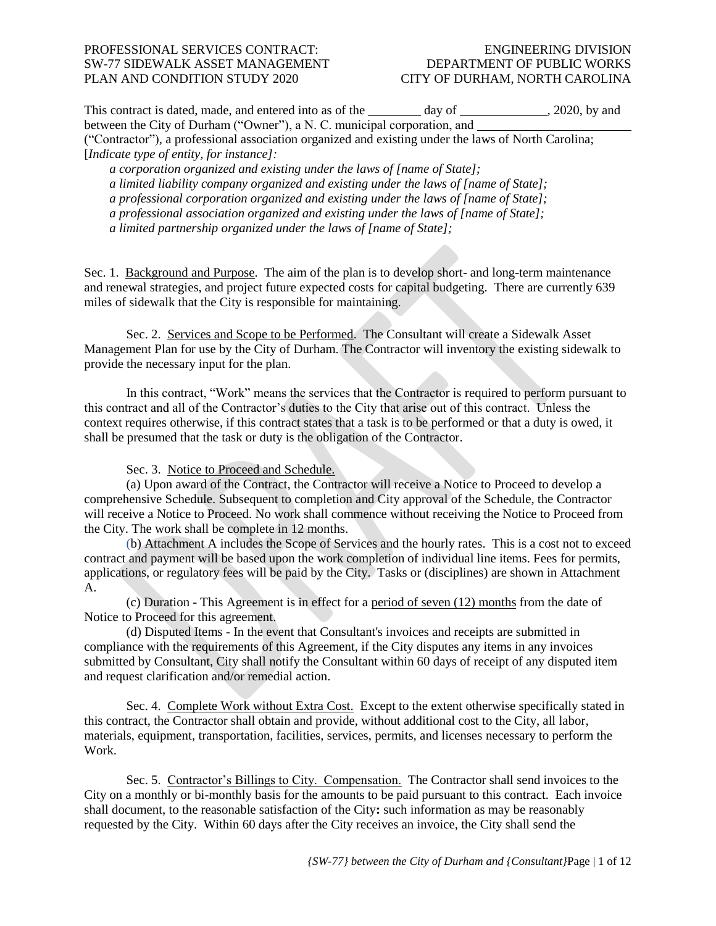This contract is dated, made, and entered into as of the  $\qquad \qquad$  day of  $\qquad \qquad$ , 2020, by and between the City of Durham ("Owner"), a N. C. municipal corporation, and ("Contractor"), a professional association organized and existing under the laws of North Carolina; [*Indicate type of entity, for instance]: a corporation organized and existing under the laws of [name of State]; a limited liability company organized and existing under the laws of [name of State];*

*a professional corporation organized and existing under the laws of [name of State];*

*a professional association organized and existing under the laws of [name of State];* 

*a limited partnership organized under the laws of [name of State];* 

Sec. 1. Background and Purpose. The aim of the plan is to develop short- and long-term maintenance and renewal strategies, and project future expected costs for capital budgeting. There are currently 639 miles of sidewalk that the City is responsible for maintaining.

Sec. 2. Services and Scope to be Performed. The Consultant will create a Sidewalk Asset Management Plan for use by the City of Durham. The Contractor will inventory the existing sidewalk to provide the necessary input for the plan.

In this contract, "Work" means the services that the Contractor is required to perform pursuant to this contract and all of the Contractor's duties to the City that arise out of this contract. Unless the context requires otherwise, if this contract states that a task is to be performed or that a duty is owed, it shall be presumed that the task or duty is the obligation of the Contractor.

Sec. 3. Notice to Proceed and Schedule.

(a) Upon award of the Contract, the Contractor will receive a Notice to Proceed to develop a comprehensive Schedule. Subsequent to completion and City approval of the Schedule, the Contractor will receive a Notice to Proceed. No work shall commence without receiving the Notice to Proceed from the City. The work shall be complete in 12 months.

(b) Attachment A includes the Scope of Services and the hourly rates. This is a cost not to exceed contract and payment will be based upon the work completion of individual line items. Fees for permits, applications, or regulatory fees will be paid by the City. Tasks or (disciplines) are shown in Attachment A.

(c) Duration - This Agreement is in effect for a period of seven (12) months from the date of Notice to Proceed for this agreement.

(d) Disputed Items - In the event that Consultant's invoices and receipts are submitted in compliance with the requirements of this Agreement, if the City disputes any items in any invoices submitted by Consultant, City shall notify the Consultant within 60 days of receipt of any disputed item and request clarification and/or remedial action.

Sec. 4. Complete Work without Extra Cost. Except to the extent otherwise specifically stated in this contract, the Contractor shall obtain and provide, without additional cost to the City, all labor, materials, equipment, transportation, facilities, services, permits, and licenses necessary to perform the Work.

Sec. 5. Contractor's Billings to City. Compensation. The Contractor shall send invoices to the City on a monthly or bi-monthly basis for the amounts to be paid pursuant to this contract. Each invoice shall document, to the reasonable satisfaction of the City**:** such information as may be reasonably requested by the City. Within 60 days after the City receives an invoice, the City shall send the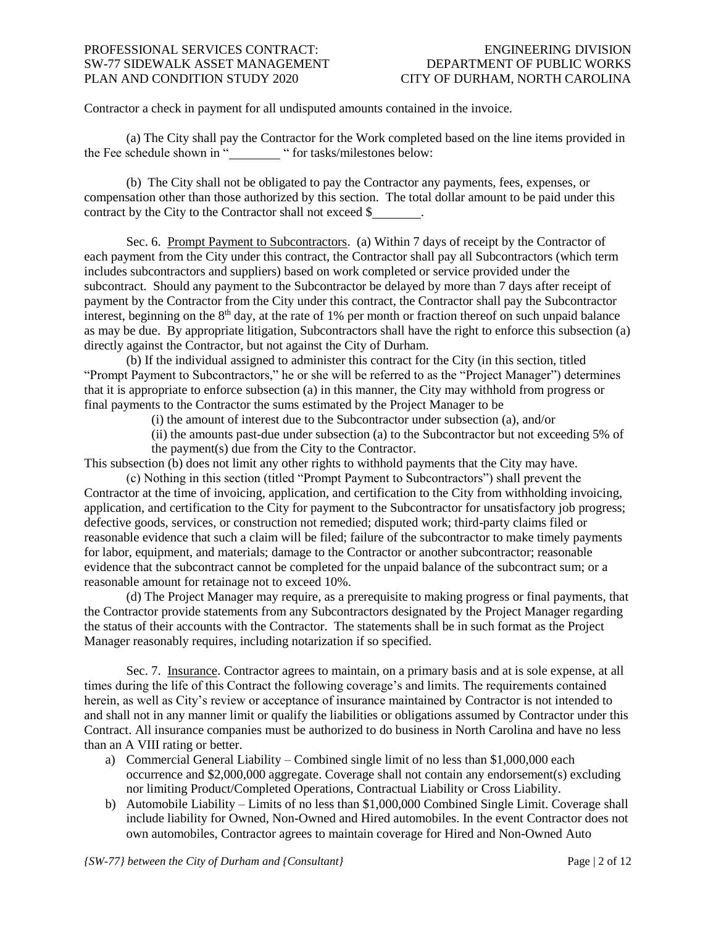Contractor a check in payment for all undisputed amounts contained in the invoice.

(a) The City shall pay the Contractor for the Work completed based on the line items provided in the Fee schedule shown in " " for tasks/milestones below:

(b) The City shall not be obligated to pay the Contractor any payments, fees, expenses, or compensation other than those authorized by this section. The total dollar amount to be paid under this contract by the City to the Contractor shall not exceed \$ .

Sec. 6. Prompt Payment to Subcontractors. (a) Within 7 days of receipt by the Contractor of each payment from the City under this contract, the Contractor shall pay all Subcontractors (which term includes subcontractors and suppliers) based on work completed or service provided under the subcontract. Should any payment to the Subcontractor be delayed by more than 7 days after receipt of payment by the Contractor from the City under this contract, the Contractor shall pay the Subcontractor interest, beginning on the  $8<sup>th</sup>$  day, at the rate of 1% per month or fraction thereof on such unpaid balance as may be due. By appropriate litigation, Subcontractors shall have the right to enforce this subsection (a) directly against the Contractor, but not against the City of Durham.

(b) If the individual assigned to administer this contract for the City (in this section, titled "Prompt Payment to Subcontractors," he or she will be referred to as the "Project Manager") determines that it is appropriate to enforce subsection (a) in this manner, the City may withhold from progress or final payments to the Contractor the sums estimated by the Project Manager to be

(i) the amount of interest due to the Subcontractor under subsection (a), and/or

(ii) the amounts past-due under subsection (a) to the Subcontractor but not exceeding 5% of the payment(s) due from the City to the Contractor.

This subsection (b) does not limit any other rights to withhold payments that the City may have.

(c) Nothing in this section (titled "Prompt Payment to Subcontractors") shall prevent the Contractor at the time of invoicing, application, and certification to the City from withholding invoicing, application, and certification to the City for payment to the Subcontractor for unsatisfactory job progress; defective goods, services, or construction not remedied; disputed work; third-party claims filed or reasonable evidence that such a claim will be filed; failure of the subcontractor to make timely payments for labor, equipment, and materials; damage to the Contractor or another subcontractor; reasonable evidence that the subcontract cannot be completed for the unpaid balance of the subcontract sum; or a reasonable amount for retainage not to exceed 10%.

(d) The Project Manager may require, as a prerequisite to making progress or final payments, that the Contractor provide statements from any Subcontractors designated by the Project Manager regarding the status of their accounts with the Contractor. The statements shall be in such format as the Project Manager reasonably requires, including notarization if so specified.

Sec. 7. Insurance. Contractor agrees to maintain, on a primary basis and at is sole expense, at all times during the life of this Contract the following coverage's and limits. The requirements contained herein, as well as City's review or acceptance of insurance maintained by Contractor is not intended to and shall not in any manner limit or qualify the liabilities or obligations assumed by Contractor under this Contract. All insurance companies must be authorized to do business in North Carolina and have no less than an A VIII rating or better.

- a) Commercial General Liability Combined single limit of no less than \$1,000,000 each occurrence and \$2,000,000 aggregate. Coverage shall not contain any endorsement(s) excluding nor limiting Product/Completed Operations, Contractual Liability or Cross Liability.
- b) Automobile Liability Limits of no less than \$1,000,000 Combined Single Limit. Coverage shall include liability for Owned, Non-Owned and Hired automobiles. In the event Contractor does not own automobiles, Contractor agrees to maintain coverage for Hired and Non-Owned Auto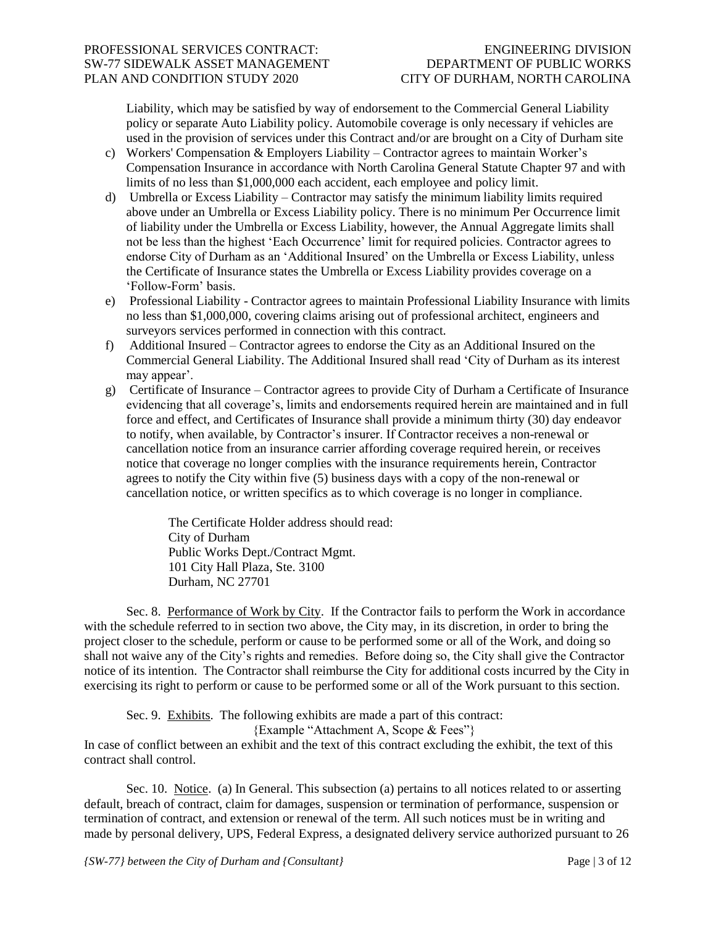Liability, which may be satisfied by way of endorsement to the Commercial General Liability policy or separate Auto Liability policy. Automobile coverage is only necessary if vehicles are used in the provision of services under this Contract and/or are brought on a City of Durham site

- c) Workers' Compensation & Employers Liability Contractor agrees to maintain Worker's Compensation Insurance in accordance with North Carolina General Statute Chapter 97 and with limits of no less than \$1,000,000 each accident, each employee and policy limit.
- d) Umbrella or Excess Liability Contractor may satisfy the minimum liability limits required above under an Umbrella or Excess Liability policy. There is no minimum Per Occurrence limit of liability under the Umbrella or Excess Liability, however, the Annual Aggregate limits shall not be less than the highest 'Each Occurrence' limit for required policies. Contractor agrees to endorse City of Durham as an 'Additional Insured' on the Umbrella or Excess Liability, unless the Certificate of Insurance states the Umbrella or Excess Liability provides coverage on a 'Follow-Form' basis.
- e) Professional Liability Contractor agrees to maintain Professional Liability Insurance with limits no less than \$1,000,000, covering claims arising out of professional architect, engineers and surveyors services performed in connection with this contract.
- f) Additional Insured Contractor agrees to endorse the City as an Additional Insured on the Commercial General Liability. The Additional Insured shall read 'City of Durham as its interest may appear'.
- g) Certificate of Insurance Contractor agrees to provide City of Durham a Certificate of Insurance evidencing that all coverage's, limits and endorsements required herein are maintained and in full force and effect, and Certificates of Insurance shall provide a minimum thirty (30) day endeavor to notify, when available, by Contractor's insurer. If Contractor receives a non-renewal or cancellation notice from an insurance carrier affording coverage required herein, or receives notice that coverage no longer complies with the insurance requirements herein, Contractor agrees to notify the City within five (5) business days with a copy of the non-renewal or cancellation notice, or written specifics as to which coverage is no longer in compliance.

The Certificate Holder address should read: City of Durham Public Works Dept./Contract Mgmt. 101 City Hall Plaza, Ste. 3100 Durham, NC 27701

Sec. 8. Performance of Work by City. If the Contractor fails to perform the Work in accordance with the schedule referred to in section two above, the City may, in its discretion, in order to bring the project closer to the schedule, perform or cause to be performed some or all of the Work, and doing so shall not waive any of the City's rights and remedies. Before doing so, the City shall give the Contractor notice of its intention. The Contractor shall reimburse the City for additional costs incurred by the City in exercising its right to perform or cause to be performed some or all of the Work pursuant to this section.

Sec. 9. Exhibits. The following exhibits are made a part of this contract:

{Example "Attachment A, Scope & Fees"}

In case of conflict between an exhibit and the text of this contract excluding the exhibit, the text of this contract shall control.

Sec. 10. Notice. (a) In General. This subsection (a) pertains to all notices related to or asserting default, breach of contract, claim for damages, suspension or termination of performance, suspension or termination of contract, and extension or renewal of the term. All such notices must be in writing and made by personal delivery, UPS, Federal Express, a designated delivery service authorized pursuant to 26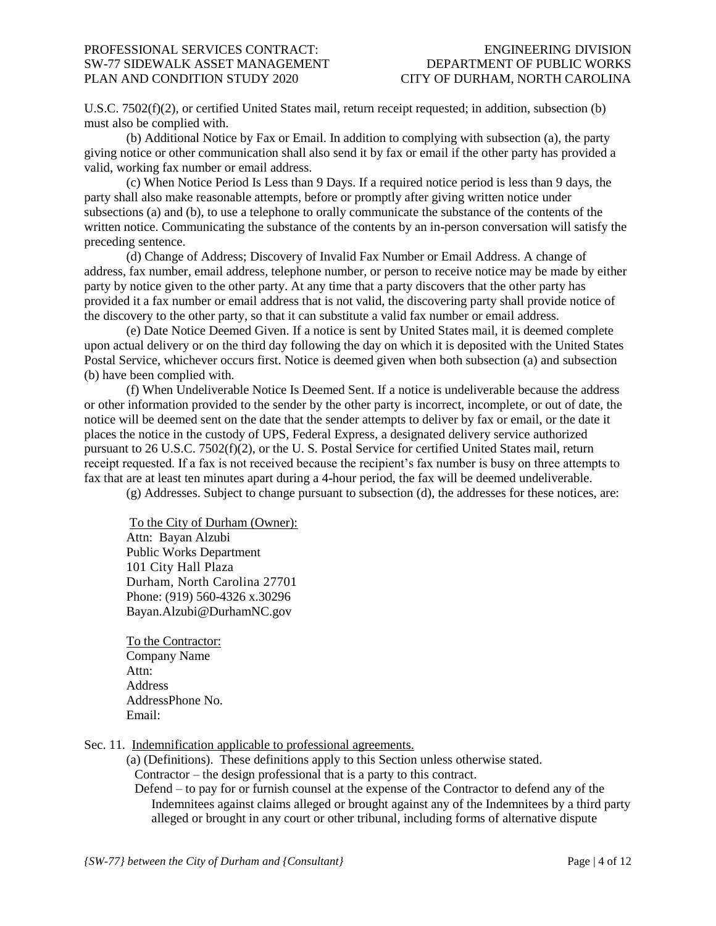U.S.C. 7502(f)(2), or certified United States mail, return receipt requested; in addition, subsection (b) must also be complied with.

(b) Additional Notice by Fax or Email. In addition to complying with subsection (a), the party giving notice or other communication shall also send it by fax or email if the other party has provided a valid, working fax number or email address.

(c) When Notice Period Is Less than 9 Days. If a required notice period is less than 9 days, the party shall also make reasonable attempts, before or promptly after giving written notice under subsections (a) and (b), to use a telephone to orally communicate the substance of the contents of the written notice. Communicating the substance of the contents by an in-person conversation will satisfy the preceding sentence.

(d) Change of Address; Discovery of Invalid Fax Number or Email Address. A change of address, fax number, email address, telephone number, or person to receive notice may be made by either party by notice given to the other party. At any time that a party discovers that the other party has provided it a fax number or email address that is not valid, the discovering party shall provide notice of the discovery to the other party, so that it can substitute a valid fax number or email address.

(e) Date Notice Deemed Given. If a notice is sent by United States mail, it is deemed complete upon actual delivery or on the third day following the day on which it is deposited with the United States Postal Service, whichever occurs first. Notice is deemed given when both subsection (a) and subsection (b) have been complied with.

(f) When Undeliverable Notice Is Deemed Sent. If a notice is undeliverable because the address or other information provided to the sender by the other party is incorrect, incomplete, or out of date, the notice will be deemed sent on the date that the sender attempts to deliver by fax or email, or the date it places the notice in the custody of UPS, Federal Express, a designated delivery service authorized pursuant to 26 U.S.C. 7502(f)(2), or the U. S. Postal Service for certified United States mail, return receipt requested. If a fax is not received because the recipient's fax number is busy on three attempts to fax that are at least ten minutes apart during a 4-hour period, the fax will be deemed undeliverable.

(g) Addresses. Subject to change pursuant to subsection (d), the addresses for these notices, are:

To the City of Durham (Owner): Attn: Bayan Alzubi Public Works Department 101 City Hall Plaza Durham, North Carolina 27701 Phone: (919) 560-4326 x.30296 Bayan.Alzubi@DurhamNC.gov

To the Contractor: Company Name Attn: Address AddressPhone No. Email:

Sec. 11. Indemnification applicable to professional agreements.

(a) (Definitions). These definitions apply to this Section unless otherwise stated. Contractor – the design professional that is a party to this contract.

Defend – to pay for or furnish counsel at the expense of the Contractor to defend any of the Indemnitees against claims alleged or brought against any of the Indemnitees by a third party alleged or brought in any court or other tribunal, including forms of alternative dispute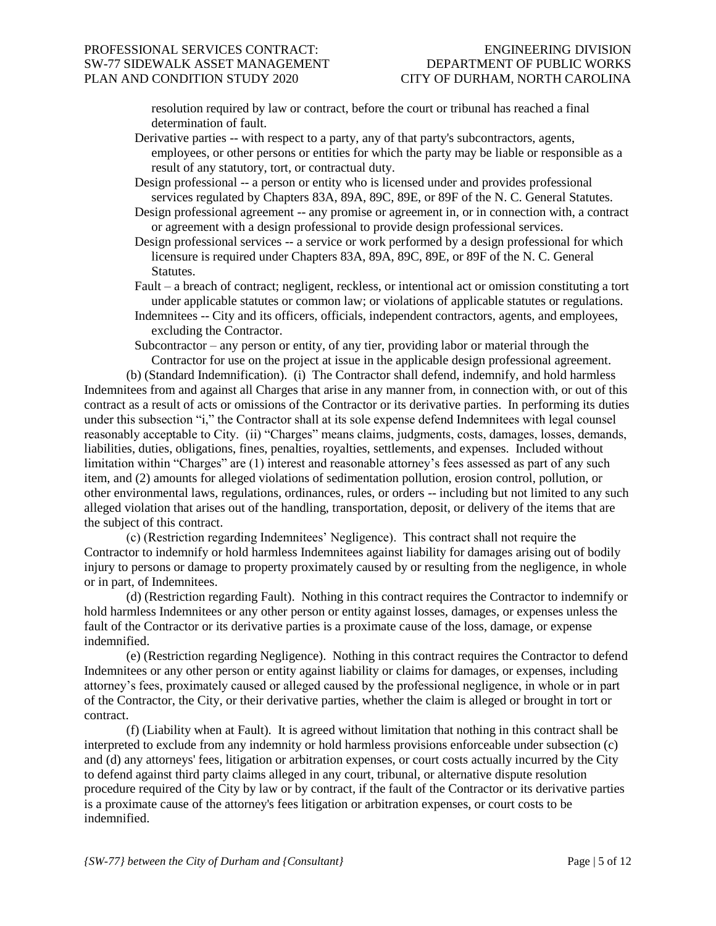resolution required by law or contract, before the court or tribunal has reached a final determination of fault.

- Derivative parties -- with respect to a party, any of that party's subcontractors, agents, employees, or other persons or entities for which the party may be liable or responsible as a result of any statutory, tort, or contractual duty.
- Design professional -- a person or entity who is licensed under and provides professional services regulated by Chapters 83A, 89A, 89C, 89E, or 89F of the N. C. General Statutes.
- Design professional agreement -- any promise or agreement in, or in connection with, a contract or agreement with a design professional to provide design professional services.
- Design professional services -- a service or work performed by a design professional for which licensure is required under Chapters 83A, 89A, 89C, 89E, or 89F of the N. C. General Statutes.
- Fault a breach of contract; negligent, reckless, or intentional act or omission constituting a tort under applicable statutes or common law; or violations of applicable statutes or regulations.
- Indemnitees -- City and its officers, officials, independent contractors, agents, and employees, excluding the Contractor.
- Subcontractor any person or entity, of any tier, providing labor or material through the Contractor for use on the project at issue in the applicable design professional agreement.

(b) (Standard Indemnification). (i) The Contractor shall defend, indemnify, and hold harmless Indemnitees from and against all Charges that arise in any manner from, in connection with, or out of this contract as a result of acts or omissions of the Contractor or its derivative parties. In performing its duties under this subsection "i," the Contractor shall at its sole expense defend Indemnitees with legal counsel reasonably acceptable to City. (ii) "Charges" means claims, judgments, costs, damages, losses, demands, liabilities, duties, obligations, fines, penalties, royalties, settlements, and expenses. Included without limitation within "Charges" are (1) interest and reasonable attorney's fees assessed as part of any such item, and (2) amounts for alleged violations of sedimentation pollution, erosion control, pollution, or other environmental laws, regulations, ordinances, rules, or orders -- including but not limited to any such alleged violation that arises out of the handling, transportation, deposit, or delivery of the items that are the subject of this contract.

(c) (Restriction regarding Indemnitees' Negligence). This contract shall not require the Contractor to indemnify or hold harmless Indemnitees against liability for damages arising out of bodily injury to persons or damage to property proximately caused by or resulting from the negligence, in whole or in part, of Indemnitees.

(d) (Restriction regarding Fault). Nothing in this contract requires the Contractor to indemnify or hold harmless Indemnitees or any other person or entity against losses, damages, or expenses unless the fault of the Contractor or its derivative parties is a proximate cause of the loss, damage, or expense indemnified.

(e) (Restriction regarding Negligence). Nothing in this contract requires the Contractor to defend Indemnitees or any other person or entity against liability or claims for damages, or expenses, including attorney's fees, proximately caused or alleged caused by the professional negligence, in whole or in part of the Contractor, the City, or their derivative parties, whether the claim is alleged or brought in tort or contract.

(f) (Liability when at Fault). It is agreed without limitation that nothing in this contract shall be interpreted to exclude from any indemnity or hold harmless provisions enforceable under subsection (c) and (d) any attorneys' fees, litigation or arbitration expenses, or court costs actually incurred by the City to defend against third party claims alleged in any court, tribunal, or alternative dispute resolution procedure required of the City by law or by contract, if the fault of the Contractor or its derivative parties is a proximate cause of the attorney's fees litigation or arbitration expenses, or court costs to be indemnified.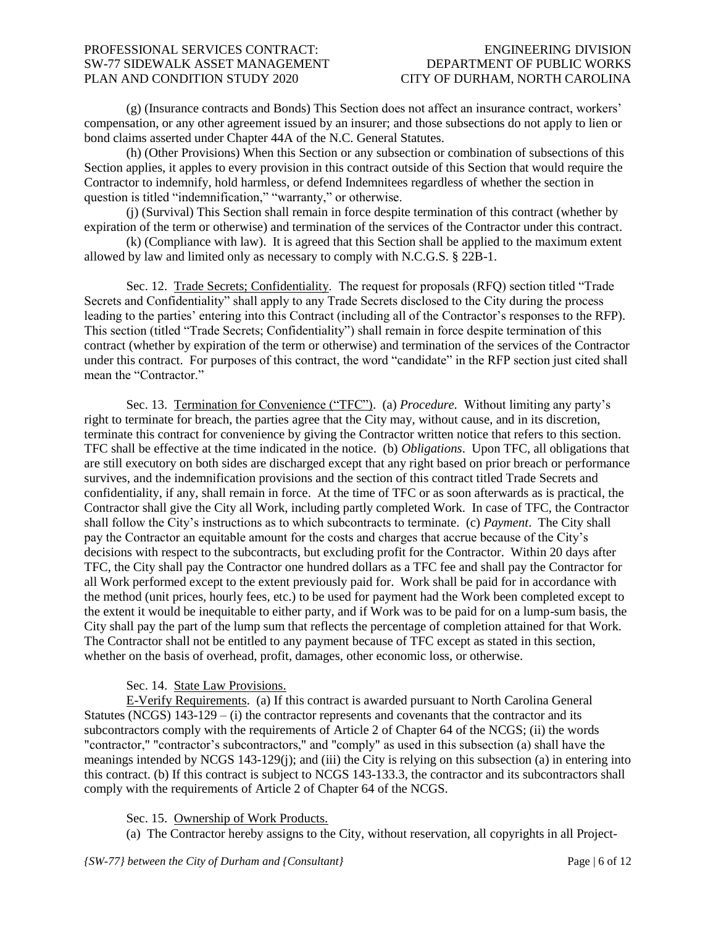(g) (Insurance contracts and Bonds) This Section does not affect an insurance contract, workers' compensation, or any other agreement issued by an insurer; and those subsections do not apply to lien or bond claims asserted under Chapter 44A of the N.C. General Statutes.

(h) (Other Provisions) When this Section or any subsection or combination of subsections of this Section applies, it apples to every provision in this contract outside of this Section that would require the Contractor to indemnify, hold harmless, or defend Indemnitees regardless of whether the section in question is titled "indemnification," "warranty," or otherwise.

(j) (Survival) This Section shall remain in force despite termination of this contract (whether by expiration of the term or otherwise) and termination of the services of the Contractor under this contract.

(k) (Compliance with law). It is agreed that this Section shall be applied to the maximum extent allowed by law and limited only as necessary to comply with N.C.G.S. § 22B-1.

Sec. 12. Trade Secrets; Confidentiality. The request for proposals (RFQ) section titled "Trade Secrets and Confidentiality" shall apply to any Trade Secrets disclosed to the City during the process leading to the parties' entering into this Contract (including all of the Contractor's responses to the RFP). This section (titled "Trade Secrets; Confidentiality") shall remain in force despite termination of this contract (whether by expiration of the term or otherwise) and termination of the services of the Contractor under this contract. For purposes of this contract, the word "candidate" in the RFP section just cited shall mean the "Contractor."

Sec. 13. Termination for Convenience ("TFC"). (a) *Procedure.* Without limiting any party's right to terminate for breach, the parties agree that the City may, without cause, and in its discretion, terminate this contract for convenience by giving the Contractor written notice that refers to this section. TFC shall be effective at the time indicated in the notice. (b) *Obligations*. Upon TFC, all obligations that are still executory on both sides are discharged except that any right based on prior breach or performance survives, and the indemnification provisions and the section of this contract titled Trade Secrets and confidentiality, if any, shall remain in force. At the time of TFC or as soon afterwards as is practical, the Contractor shall give the City all Work, including partly completed Work. In case of TFC, the Contractor shall follow the City's instructions as to which subcontracts to terminate. (c) *Payment*. The City shall pay the Contractor an equitable amount for the costs and charges that accrue because of the City's decisions with respect to the subcontracts, but excluding profit for the Contractor. Within 20 days after TFC, the City shall pay the Contractor one hundred dollars as a TFC fee and shall pay the Contractor for all Work performed except to the extent previously paid for. Work shall be paid for in accordance with the method (unit prices, hourly fees, etc.) to be used for payment had the Work been completed except to the extent it would be inequitable to either party, and if Work was to be paid for on a lump-sum basis, the City shall pay the part of the lump sum that reflects the percentage of completion attained for that Work. The Contractor shall not be entitled to any payment because of TFC except as stated in this section, whether on the basis of overhead, profit, damages, other economic loss, or otherwise.

## Sec. 14. State Law Provisions.

E-Verify Requirements. (a) If this contract is awarded pursuant to North Carolina General Statutes (NCGS)  $143-129 - (i)$  the contractor represents and covenants that the contractor and its subcontractors comply with the requirements of Article 2 of Chapter 64 of the NCGS; (ii) the words "contractor," "contractor's subcontractors," and "comply" as used in this subsection (a) shall have the meanings intended by NCGS 143-129(j); and (iii) the City is relying on this subsection (a) in entering into this contract. (b) If this contract is subject to NCGS 143-133.3, the contractor and its subcontractors shall comply with the requirements of Article 2 of Chapter 64 of the NCGS.

Sec. 15. Ownership of Work Products.

(a) The Contractor hereby assigns to the City, without reservation, all copyrights in all Project-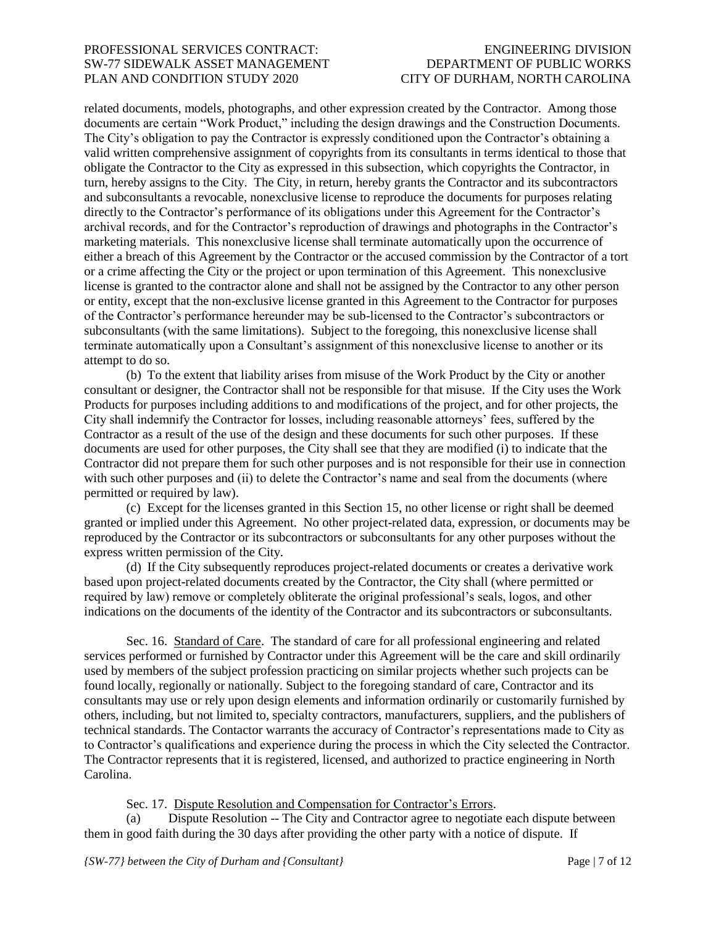related documents, models, photographs, and other expression created by the Contractor. Among those documents are certain "Work Product," including the design drawings and the Construction Documents. The City's obligation to pay the Contractor is expressly conditioned upon the Contractor's obtaining a valid written comprehensive assignment of copyrights from its consultants in terms identical to those that obligate the Contractor to the City as expressed in this subsection, which copyrights the Contractor, in turn, hereby assigns to the City. The City, in return, hereby grants the Contractor and its subcontractors and subconsultants a revocable, nonexclusive license to reproduce the documents for purposes relating directly to the Contractor's performance of its obligations under this Agreement for the Contractor's archival records, and for the Contractor's reproduction of drawings and photographs in the Contractor's marketing materials. This nonexclusive license shall terminate automatically upon the occurrence of either a breach of this Agreement by the Contractor or the accused commission by the Contractor of a tort or a crime affecting the City or the project or upon termination of this Agreement. This nonexclusive license is granted to the contractor alone and shall not be assigned by the Contractor to any other person or entity, except that the non-exclusive license granted in this Agreement to the Contractor for purposes of the Contractor's performance hereunder may be sub-licensed to the Contractor's subcontractors or subconsultants (with the same limitations). Subject to the foregoing, this nonexclusive license shall terminate automatically upon a Consultant's assignment of this nonexclusive license to another or its attempt to do so.

(b) To the extent that liability arises from misuse of the Work Product by the City or another consultant or designer, the Contractor shall not be responsible for that misuse. If the City uses the Work Products for purposes including additions to and modifications of the project, and for other projects, the City shall indemnify the Contractor for losses, including reasonable attorneys' fees, suffered by the Contractor as a result of the use of the design and these documents for such other purposes. If these documents are used for other purposes, the City shall see that they are modified (i) to indicate that the Contractor did not prepare them for such other purposes and is not responsible for their use in connection with such other purposes and (ii) to delete the Contractor's name and seal from the documents (where permitted or required by law).

(c) Except for the licenses granted in this Section 15, no other license or right shall be deemed granted or implied under this Agreement. No other project-related data, expression, or documents may be reproduced by the Contractor or its subcontractors or subconsultants for any other purposes without the express written permission of the City.

(d) If the City subsequently reproduces project-related documents or creates a derivative work based upon project-related documents created by the Contractor, the City shall (where permitted or required by law) remove or completely obliterate the original professional's seals, logos, and other indications on the documents of the identity of the Contractor and its subcontractors or subconsultants.

Sec. 16. Standard of Care. The standard of care for all professional engineering and related services performed or furnished by Contractor under this Agreement will be the care and skill ordinarily used by members of the subject profession practicing on similar projects whether such projects can be found locally, regionally or nationally. Subject to the foregoing standard of care, Contractor and its consultants may use or rely upon design elements and information ordinarily or customarily furnished by others, including, but not limited to, specialty contractors, manufacturers, suppliers, and the publishers of technical standards. The Contactor warrants the accuracy of Contractor's representations made to City as to Contractor's qualifications and experience during the process in which the City selected the Contractor. The Contractor represents that it is registered, licensed, and authorized to practice engineering in North Carolina.

Sec. 17. Dispute Resolution and Compensation for Contractor's Errors.

(a) Dispute Resolution -- The City and Contractor agree to negotiate each dispute between them in good faith during the 30 days after providing the other party with a notice of dispute. If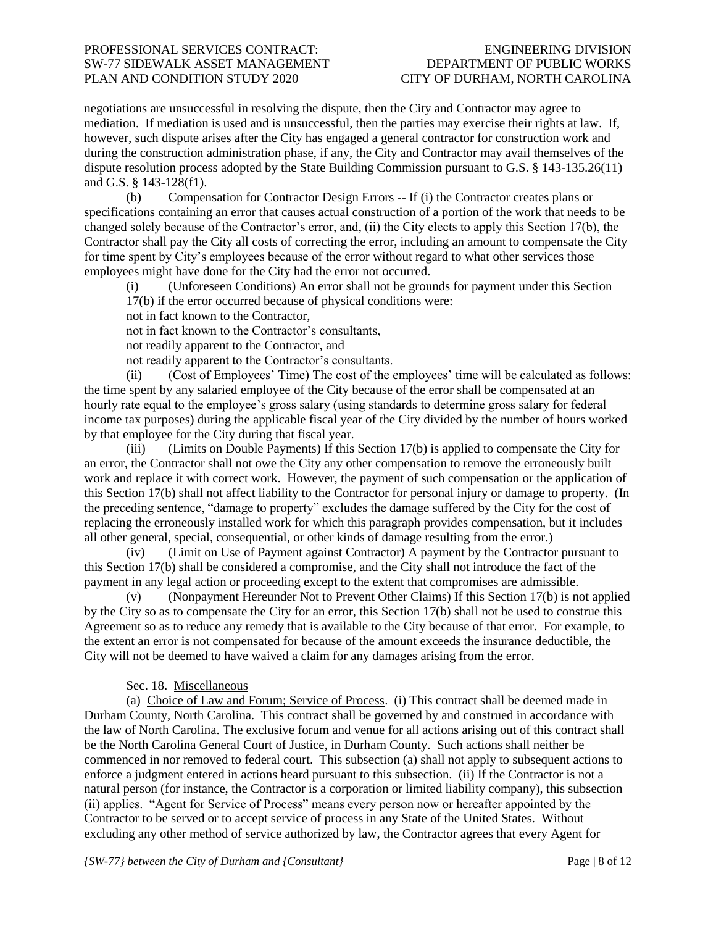negotiations are unsuccessful in resolving the dispute, then the City and Contractor may agree to mediation. If mediation is used and is unsuccessful, then the parties may exercise their rights at law. If, however, such dispute arises after the City has engaged a general contractor for construction work and during the construction administration phase, if any, the City and Contractor may avail themselves of the dispute resolution process adopted by the State Building Commission pursuant to G.S. § 143-135.26(11) and G.S. § 143-128(f1).

(b) Compensation for Contractor Design Errors -- If (i) the Contractor creates plans or specifications containing an error that causes actual construction of a portion of the work that needs to be changed solely because of the Contractor's error, and, (ii) the City elects to apply this Section 17(b), the Contractor shall pay the City all costs of correcting the error, including an amount to compensate the City for time spent by City's employees because of the error without regard to what other services those employees might have done for the City had the error not occurred.

(i) (Unforeseen Conditions) An error shall not be grounds for payment under this Section 17(b) if the error occurred because of physical conditions were:

not in fact known to the Contractor,

not in fact known to the Contractor's consultants,

not readily apparent to the Contractor, and

not readily apparent to the Contractor's consultants.

(ii) (Cost of Employees' Time) The cost of the employees' time will be calculated as follows: the time spent by any salaried employee of the City because of the error shall be compensated at an hourly rate equal to the employee's gross salary (using standards to determine gross salary for federal income tax purposes) during the applicable fiscal year of the City divided by the number of hours worked by that employee for the City during that fiscal year.

(iii) (Limits on Double Payments) If this Section 17(b) is applied to compensate the City for an error, the Contractor shall not owe the City any other compensation to remove the erroneously built work and replace it with correct work. However, the payment of such compensation or the application of this Section 17(b) shall not affect liability to the Contractor for personal injury or damage to property. (In the preceding sentence, "damage to property" excludes the damage suffered by the City for the cost of replacing the erroneously installed work for which this paragraph provides compensation, but it includes all other general, special, consequential, or other kinds of damage resulting from the error.)

(iv) (Limit on Use of Payment against Contractor) A payment by the Contractor pursuant to this Section 17(b) shall be considered a compromise, and the City shall not introduce the fact of the payment in any legal action or proceeding except to the extent that compromises are admissible.

(v) (Nonpayment Hereunder Not to Prevent Other Claims) If this Section 17(b) is not applied by the City so as to compensate the City for an error, this Section 17(b) shall not be used to construe this Agreement so as to reduce any remedy that is available to the City because of that error. For example, to the extent an error is not compensated for because of the amount exceeds the insurance deductible, the City will not be deemed to have waived a claim for any damages arising from the error.

### Sec. 18. Miscellaneous

(a) Choice of Law and Forum; Service of Process. (i) This contract shall be deemed made in Durham County, North Carolina. This contract shall be governed by and construed in accordance with the law of North Carolina. The exclusive forum and venue for all actions arising out of this contract shall be the North Carolina General Court of Justice, in Durham County. Such actions shall neither be commenced in nor removed to federal court. This subsection (a) shall not apply to subsequent actions to enforce a judgment entered in actions heard pursuant to this subsection. (ii) If the Contractor is not a natural person (for instance, the Contractor is a corporation or limited liability company), this subsection (ii) applies. "Agent for Service of Process" means every person now or hereafter appointed by the Contractor to be served or to accept service of process in any State of the United States. Without excluding any other method of service authorized by law, the Contractor agrees that every Agent for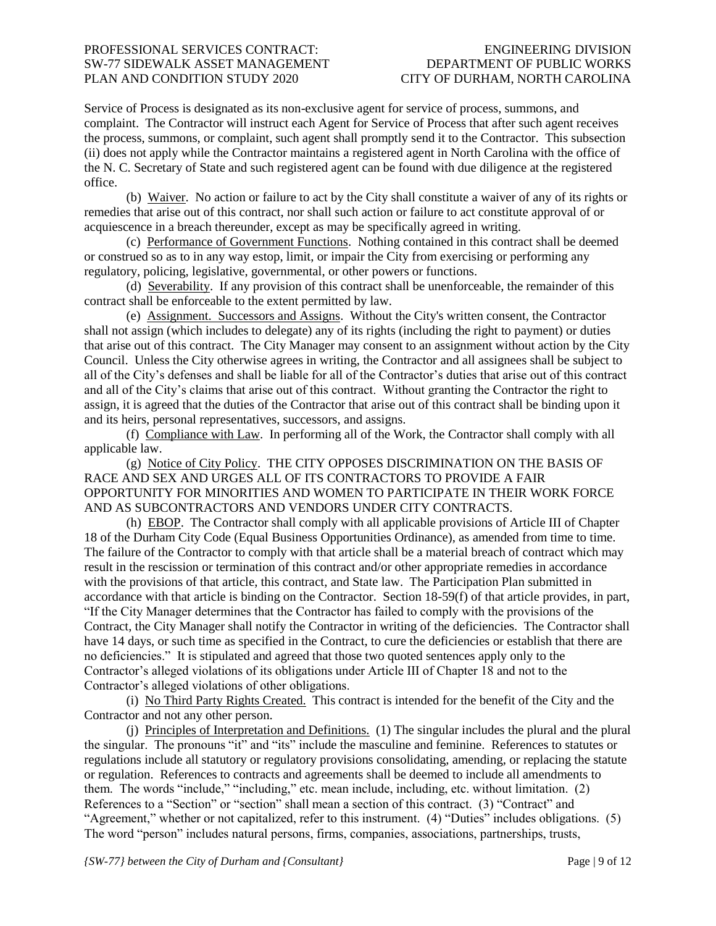Service of Process is designated as its non-exclusive agent for service of process, summons, and complaint. The Contractor will instruct each Agent for Service of Process that after such agent receives the process, summons, or complaint, such agent shall promptly send it to the Contractor. This subsection (ii) does not apply while the Contractor maintains a registered agent in North Carolina with the office of the N. C. Secretary of State and such registered agent can be found with due diligence at the registered office.

(b) Waiver. No action or failure to act by the City shall constitute a waiver of any of its rights or remedies that arise out of this contract, nor shall such action or failure to act constitute approval of or acquiescence in a breach thereunder, except as may be specifically agreed in writing.

(c) Performance of Government Functions. Nothing contained in this contract shall be deemed or construed so as to in any way estop, limit, or impair the City from exercising or performing any regulatory, policing, legislative, governmental, or other powers or functions.

(d) Severability. If any provision of this contract shall be unenforceable, the remainder of this contract shall be enforceable to the extent permitted by law.

(e) Assignment. Successors and Assigns. Without the City's written consent, the Contractor shall not assign (which includes to delegate) any of its rights (including the right to payment) or duties that arise out of this contract. The City Manager may consent to an assignment without action by the City Council. Unless the City otherwise agrees in writing, the Contractor and all assignees shall be subject to all of the City's defenses and shall be liable for all of the Contractor's duties that arise out of this contract and all of the City's claims that arise out of this contract. Without granting the Contractor the right to assign, it is agreed that the duties of the Contractor that arise out of this contract shall be binding upon it and its heirs, personal representatives, successors, and assigns.

(f) Compliance with Law. In performing all of the Work, the Contractor shall comply with all applicable law.

(g) Notice of City Policy. THE CITY OPPOSES DISCRIMINATION ON THE BASIS OF RACE AND SEX AND URGES ALL OF ITS CONTRACTORS TO PROVIDE A FAIR OPPORTUNITY FOR MINORITIES AND WOMEN TO PARTICIPATE IN THEIR WORK FORCE AND AS SUBCONTRACTORS AND VENDORS UNDER CITY CONTRACTS.

(h) EBOP. The Contractor shall comply with all applicable provisions of Article III of Chapter 18 of the Durham City Code (Equal Business Opportunities Ordinance), as amended from time to time. The failure of the Contractor to comply with that article shall be a material breach of contract which may result in the rescission or termination of this contract and/or other appropriate remedies in accordance with the provisions of that article, this contract, and State law. The Participation Plan submitted in accordance with that article is binding on the Contractor. Section 18-59(f) of that article provides, in part, "If the City Manager determines that the Contractor has failed to comply with the provisions of the Contract, the City Manager shall notify the Contractor in writing of the deficiencies. The Contractor shall have 14 days, or such time as specified in the Contract, to cure the deficiencies or establish that there are no deficiencies." It is stipulated and agreed that those two quoted sentences apply only to the Contractor's alleged violations of its obligations under Article III of Chapter 18 and not to the Contractor's alleged violations of other obligations.

(i) No Third Party Rights Created. This contract is intended for the benefit of the City and the Contractor and not any other person.

(j) Principles of Interpretation and Definitions. (1) The singular includes the plural and the plural the singular. The pronouns "it" and "its" include the masculine and feminine. References to statutes or regulations include all statutory or regulatory provisions consolidating, amending, or replacing the statute or regulation. References to contracts and agreements shall be deemed to include all amendments to them. The words "include," "including," etc. mean include, including, etc. without limitation. (2) References to a "Section" or "section" shall mean a section of this contract. (3) "Contract" and "Agreement," whether or not capitalized, refer to this instrument. (4) "Duties" includes obligations. (5) The word "person" includes natural persons, firms, companies, associations, partnerships, trusts,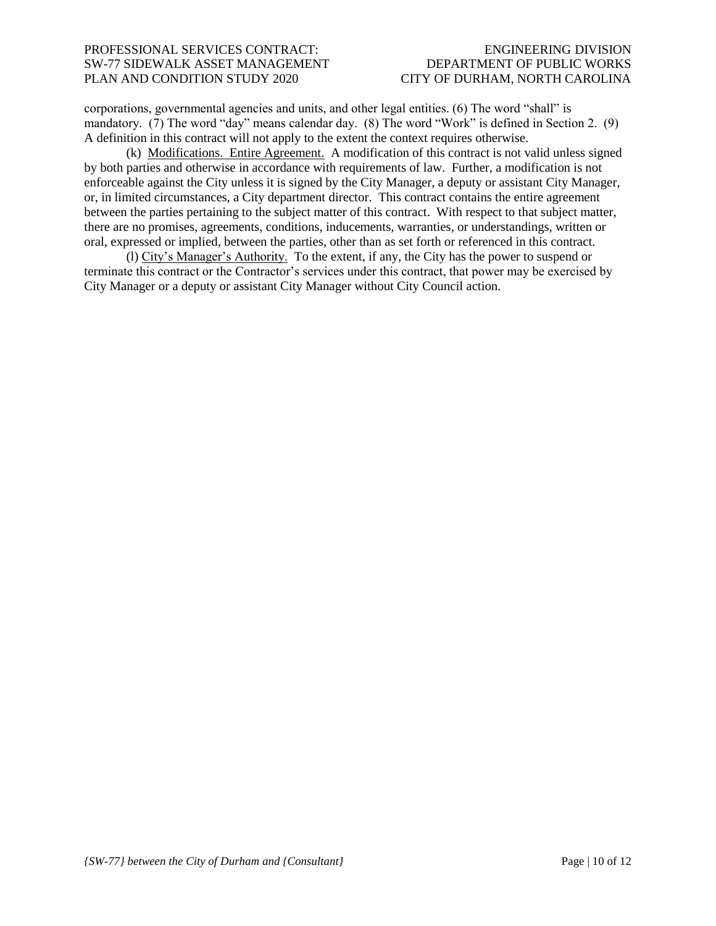corporations, governmental agencies and units, and other legal entities. (6) The word "shall" is mandatory. (7) The word "day" means calendar day. (8) The word "Work" is defined in Section 2. (9) A definition in this contract will not apply to the extent the context requires otherwise.

(k) Modifications. Entire Agreement. A modification of this contract is not valid unless signed by both parties and otherwise in accordance with requirements of law. Further, a modification is not enforceable against the City unless it is signed by the City Manager, a deputy or assistant City Manager, or, in limited circumstances, a City department director. This contract contains the entire agreement between the parties pertaining to the subject matter of this contract. With respect to that subject matter, there are no promises, agreements, conditions, inducements, warranties, or understandings, written or oral, expressed or implied, between the parties, other than as set forth or referenced in this contract.

(l) City's Manager's Authority. To the extent, if any, the City has the power to suspend or terminate this contract or the Contractor's services under this contract, that power may be exercised by City Manager or a deputy or assistant City Manager without City Council action.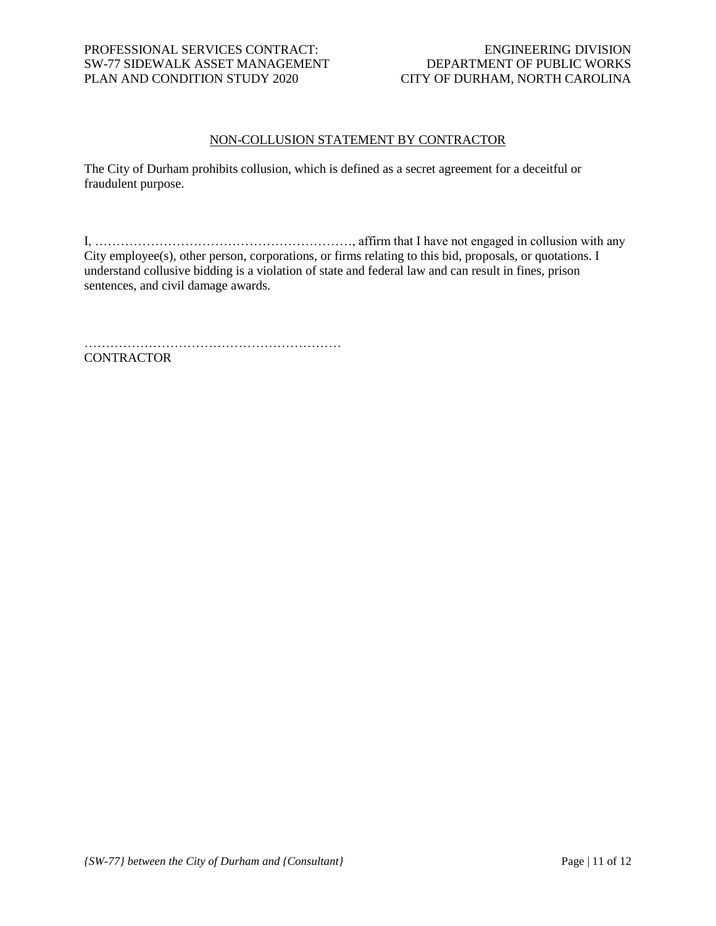# NON-COLLUSION STATEMENT BY CONTRACTOR

The City of Durham prohibits collusion, which is defined as a secret agreement for a deceitful or fraudulent purpose.

I, ……………………………………………………, affirm that I have not engaged in collusion with any City employee(s), other person, corporations, or firms relating to this bid, proposals, or quotations. I understand collusive bidding is a violation of state and federal law and can result in fines, prison sentences, and civil damage awards.

……………………………………………………

**CONTRACTOR**